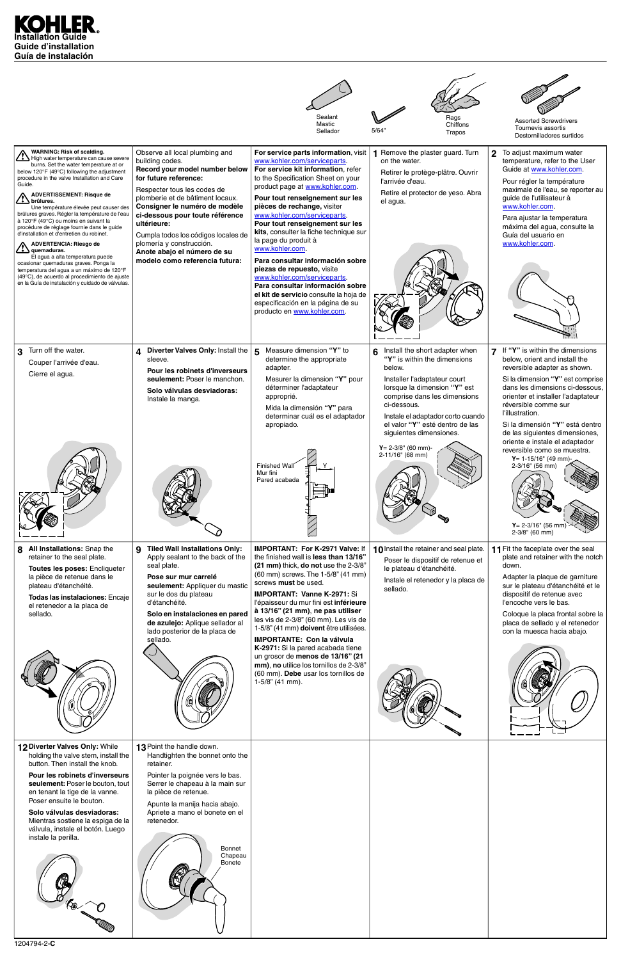



1204794-2-**C**